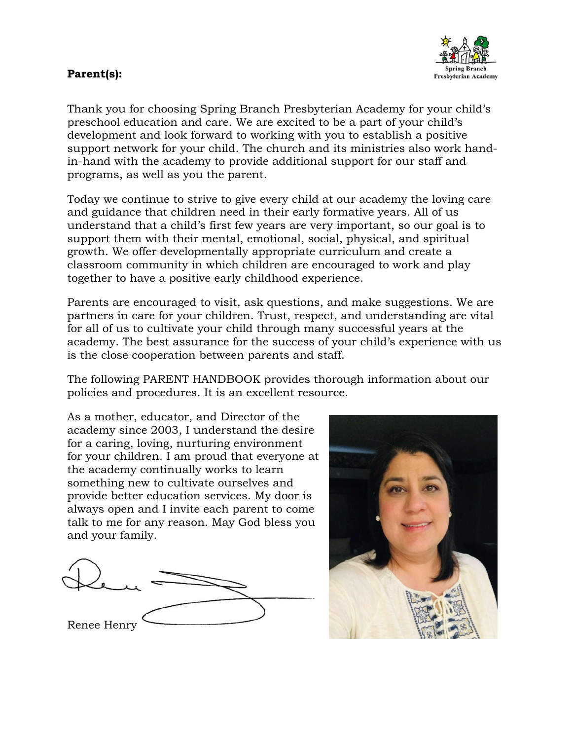#### **Parent(s):**



Thank you for choosing Spring Branch Presbyterian Academy for your child's preschool education and care. We are excited to be a part of your child's development and look forward to working with you to establish a positive support network for your child. The church and its ministries also work handin-hand with the academy to provide additional support for our staff and programs, as well as you the parent.

Today we continue to strive to give every child at our academy the loving care and guidance that children need in their early formative years. All of us understand that a child's first few years are very important, so our goal is to support them with their mental, emotional, social, physical, and spiritual growth. We offer developmentally appropriate curriculum and create a classroom community in which children are encouraged to work and play together to have a positive early childhood experience.

Parents are encouraged to visit, ask questions, and make suggestions. We are partners in care for your children. Trust, respect, and understanding are vital for all of us to cultivate your child through many successful years at the academy. The best assurance for the success of your child's experience with us is the close cooperation between parents and staff.

The following PARENT HANDBOOK provides thorough information about our policies and procedures. It is an excellent resource.

As a mother, educator, and Director of the academy since 2003, I understand the desire for a caring, loving, nurturing environment for your children. I am proud that everyone at the academy continually works to learn something new to cultivate ourselves and provide better education services. My door is always open and I invite each parent to come talk to me for any reason. May God bless you and your family.



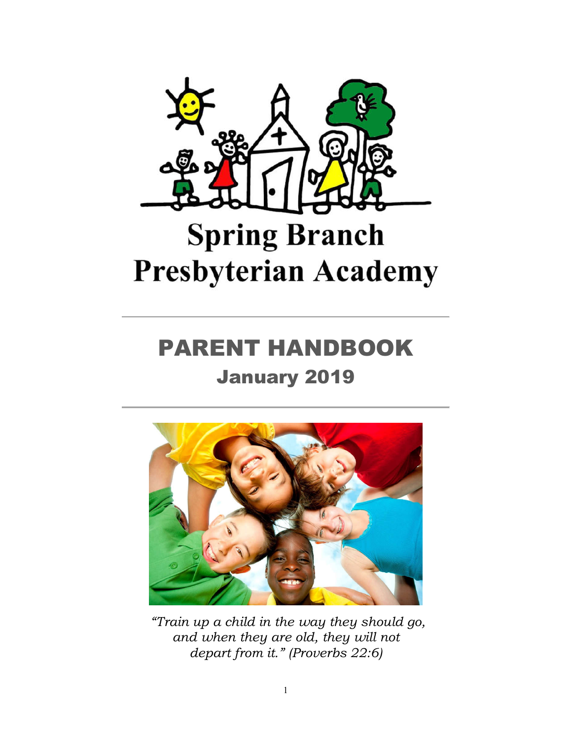

# **Spring Branch Presbyterian Academy**

## PARENT HANDBOOK

## January 2019



*"Train up a child in the way they should go, and when they are old, they will not depart from it." (Proverbs 22:6)*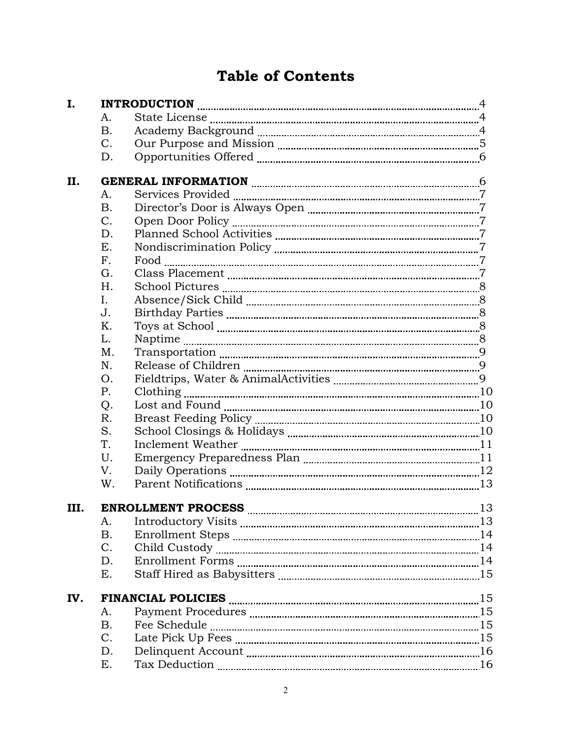### **Table of Contents**

| I.   |                |  |
|------|----------------|--|
|      | A.             |  |
|      | <b>B.</b>      |  |
|      | $C_{\cdot}$    |  |
|      | D.             |  |
| П.   |                |  |
|      | A.             |  |
|      | <b>B.</b>      |  |
|      | $C$ .          |  |
|      | D.             |  |
|      | E.             |  |
|      | F <sub>1</sub> |  |
|      | G.             |  |
|      | H.             |  |
|      | I.             |  |
|      | J.             |  |
|      | Κ.             |  |
|      | L.             |  |
|      | M.             |  |
|      | N.             |  |
|      | O.             |  |
|      | P.             |  |
|      | Q.             |  |
|      | R.             |  |
|      | S.             |  |
|      | T.             |  |
|      | U.             |  |
|      | V.             |  |
|      | W.             |  |
| III. |                |  |
|      | A.             |  |
|      | <b>B.</b>      |  |
|      | C.             |  |
|      | D.             |  |
|      | Ε.             |  |
| IV.  |                |  |
|      | A.             |  |
|      | <b>B.</b>      |  |
|      | C.             |  |
|      | D.             |  |
|      | Ε.             |  |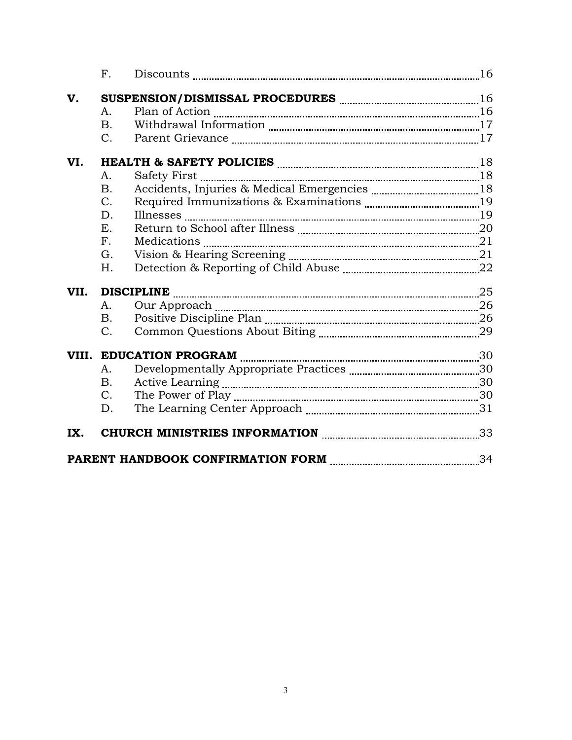|      | $F_{\cdot}$    | Discounts $\frac{16}{100}$ |  |
|------|----------------|----------------------------|--|
| V.   |                |                            |  |
|      | А.             |                            |  |
|      | <b>B.</b>      |                            |  |
|      | $C_{\cdot}$    |                            |  |
| VI.  |                |                            |  |
|      | A.             |                            |  |
|      | <b>B.</b>      |                            |  |
|      | $C_{\cdot}$    |                            |  |
|      | D.             |                            |  |
|      | Ε.             |                            |  |
|      | F <sub>1</sub> |                            |  |
|      | G.             |                            |  |
|      | H.             |                            |  |
| VII. |                | <b>DISCIPLINE</b> 25       |  |
|      | A.             |                            |  |
|      | <b>B.</b>      |                            |  |
|      | $C_{\cdot}$    |                            |  |
|      |                |                            |  |
|      | A.             |                            |  |
|      | <b>B.</b>      |                            |  |
|      | $C_{\cdot}$    |                            |  |
|      | D.             |                            |  |
| IX.  |                |                            |  |
|      |                |                            |  |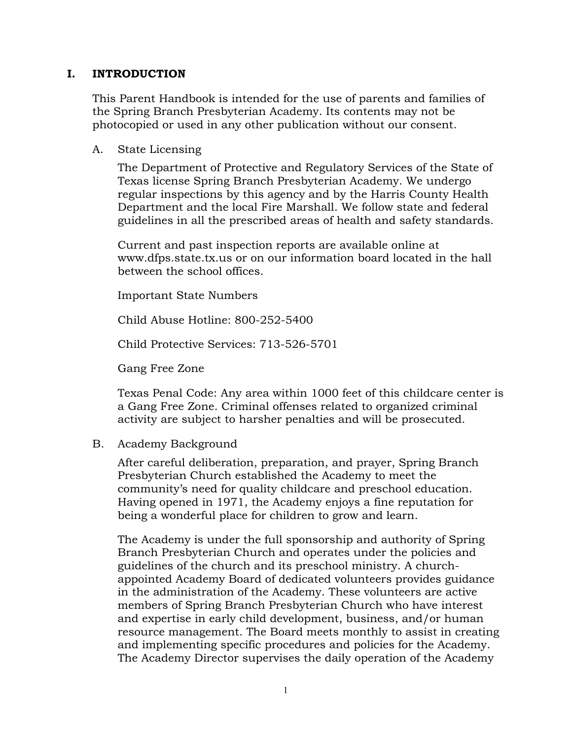#### **I. INTRODUCTION**

This Parent Handbook is intended for the use of parents and families of the Spring Branch Presbyterian Academy. Its contents may not be photocopied or used in any other publication without our consent.

#### A. State Licensing

The Department of Protective and Regulatory Services of the State of Texas license Spring Branch Presbyterian Academy. We undergo regular inspections by this agency and by the Harris County Health Department and the local Fire Marshall. We follow state and federal guidelines in all the prescribed areas of health and safety standards.

Current and past inspection reports are available online at www.dfps.state.tx.us or on our information board located in the hall between the school offices.

Important State Numbers

Child Abuse Hotline: 800-252-5400

Child Protective Services: 713-526-5701

Gang Free Zone

Texas Penal Code: Any area within 1000 feet of this childcare center is a Gang Free Zone. Criminal offenses related to organized criminal activity are subject to harsher penalties and will be prosecuted.

#### B. Academy Background

After careful deliberation, preparation, and prayer, Spring Branch Presbyterian Church established the Academy to meet the community's need for quality childcare and preschool education. Having opened in 1971, the Academy enjoys a fine reputation for being a wonderful place for children to grow and learn.

The Academy is under the full sponsorship and authority of Spring Branch Presbyterian Church and operates under the policies and guidelines of the church and its preschool ministry. A churchappointed Academy Board of dedicated volunteers provides guidance in the administration of the Academy. These volunteers are active members of Spring Branch Presbyterian Church who have interest and expertise in early child development, business, and/or human resource management. The Board meets monthly to assist in creating and implementing specific procedures and policies for the Academy. The Academy Director supervises the daily operation of the Academy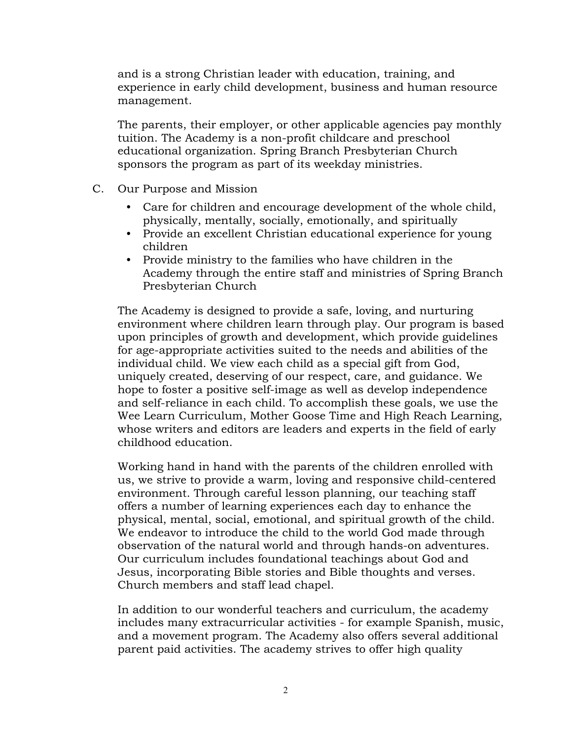and is a strong Christian leader with education, training, and experience in early child development, business and human resource management.

The parents, their employer, or other applicable agencies pay monthly tuition. The Academy is a non-profit childcare and preschool educational organization. Spring Branch Presbyterian Church sponsors the program as part of its weekday ministries.

- C. Our Purpose and Mission
	- Care for children and encourage development of the whole child, physically, mentally, socially, emotionally, and spiritually
	- Provide an excellent Christian educational experience for young children
	- Provide ministry to the families who have children in the Academy through the entire staff and ministries of Spring Branch Presbyterian Church

The Academy is designed to provide a safe, loving, and nurturing environment where children learn through play. Our program is based upon principles of growth and development, which provide guidelines for age-appropriate activities suited to the needs and abilities of the individual child. We view each child as a special gift from God, uniquely created, deserving of our respect, care, and guidance. We hope to foster a positive self-image as well as develop independence and self-reliance in each child. To accomplish these goals, we use the Wee Learn Curriculum, Mother Goose Time and High Reach Learning, whose writers and editors are leaders and experts in the field of early childhood education.

Working hand in hand with the parents of the children enrolled with us, we strive to provide a warm, loving and responsive child-centered environment. Through careful lesson planning, our teaching staff offers a number of learning experiences each day to enhance the physical, mental, social, emotional, and spiritual growth of the child. We endeavor to introduce the child to the world God made through observation of the natural world and through hands-on adventures. Our curriculum includes foundational teachings about God and Jesus, incorporating Bible stories and Bible thoughts and verses. Church members and staff lead chapel.

In addition to our wonderful teachers and curriculum, the academy includes many extracurricular activities - for example Spanish, music, and a movement program. The Academy also offers several additional parent paid activities. The academy strives to offer high quality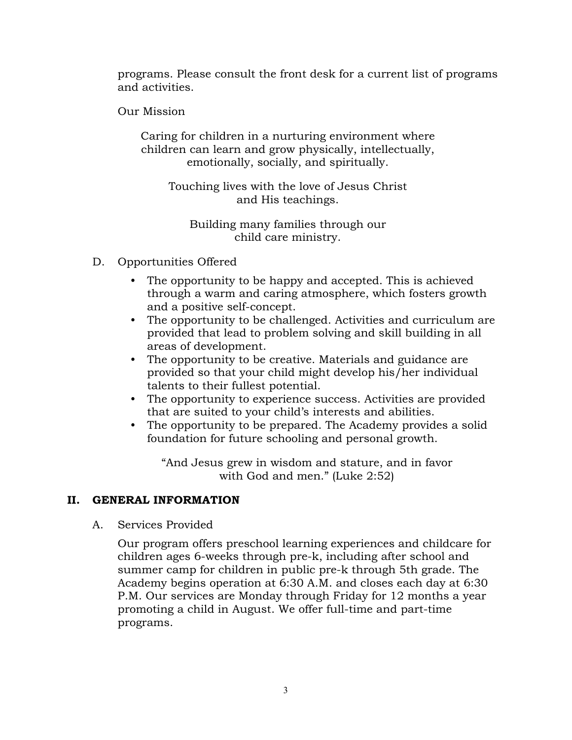programs. Please consult the front desk for a current list of programs and activities.

Our Mission

Caring for children in a nurturing environment where children can learn and grow physically, intellectually, emotionally, socially, and spiritually.

Touching lives with the love of Jesus Christ and His teachings.

Building many families through our child care ministry.

- D. Opportunities Offered
	- The opportunity to be happy and accepted. This is achieved through a warm and caring atmosphere, which fosters growth and a positive self-concept.
	- The opportunity to be challenged. Activities and curriculum are provided that lead to problem solving and skill building in all areas of development.
	- The opportunity to be creative. Materials and guidance are provided so that your child might develop his/her individual talents to their fullest potential.
	- The opportunity to experience success. Activities are provided that are suited to your child's interests and abilities.
	- The opportunity to be prepared. The Academy provides a solid foundation for future schooling and personal growth.

"And Jesus grew in wisdom and stature, and in favor with God and men." (Luke 2:52)

#### **II. GENERAL INFORMATION**

A. Services Provided

Our program offers preschool learning experiences and childcare for children ages 6-weeks through pre-k, including after school and summer camp for children in public pre-k through 5th grade. The Academy begins operation at 6:30 A.M. and closes each day at 6:30 P.M. Our services are Monday through Friday for 12 months a year promoting a child in August. We offer full-time and part-time programs.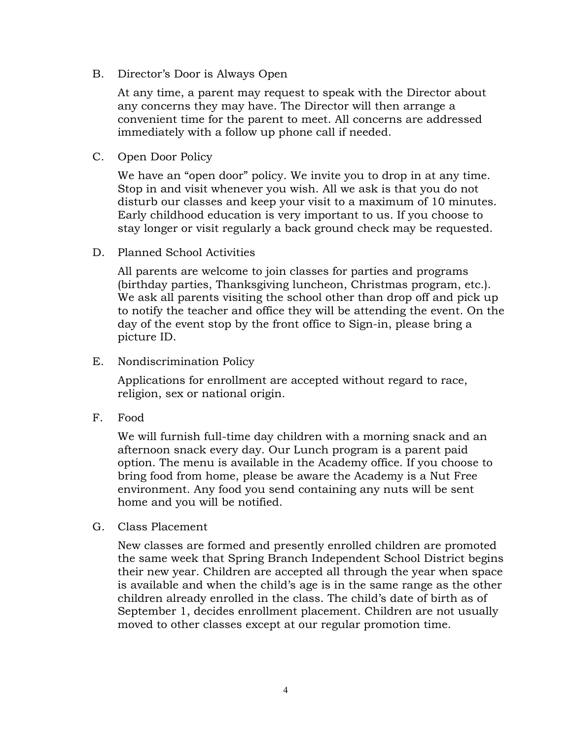B. Director's Door is Always Open

At any time, a parent may request to speak with the Director about any concerns they may have. The Director will then arrange a convenient time for the parent to meet. All concerns are addressed immediately with a follow up phone call if needed.

C. Open Door Policy

We have an "open door" policy. We invite you to drop in at any time. Stop in and visit whenever you wish. All we ask is that you do not disturb our classes and keep your visit to a maximum of 10 minutes. Early childhood education is very important to us. If you choose to stay longer or visit regularly a back ground check may be requested.

D. Planned School Activities

All parents are welcome to join classes for parties and programs (birthday parties, Thanksgiving luncheon, Christmas program, etc.). We ask all parents visiting the school other than drop off and pick up to notify the teacher and office they will be attending the event. On the day of the event stop by the front office to Sign-in, please bring a picture ID.

E. Nondiscrimination Policy

Applications for enrollment are accepted without regard to race, religion, sex or national origin.

F. Food

We will furnish full-time day children with a morning snack and an afternoon snack every day. Our Lunch program is a parent paid option. The menu is available in the Academy office. If you choose to bring food from home, please be aware the Academy is a Nut Free environment. Any food you send containing any nuts will be sent home and you will be notified.

G. Class Placement

New classes are formed and presently enrolled children are promoted the same week that Spring Branch Independent School District begins their new year. Children are accepted all through the year when space is available and when the child's age is in the same range as the other children already enrolled in the class. The child's date of birth as of September 1, decides enrollment placement. Children are not usually moved to other classes except at our regular promotion time.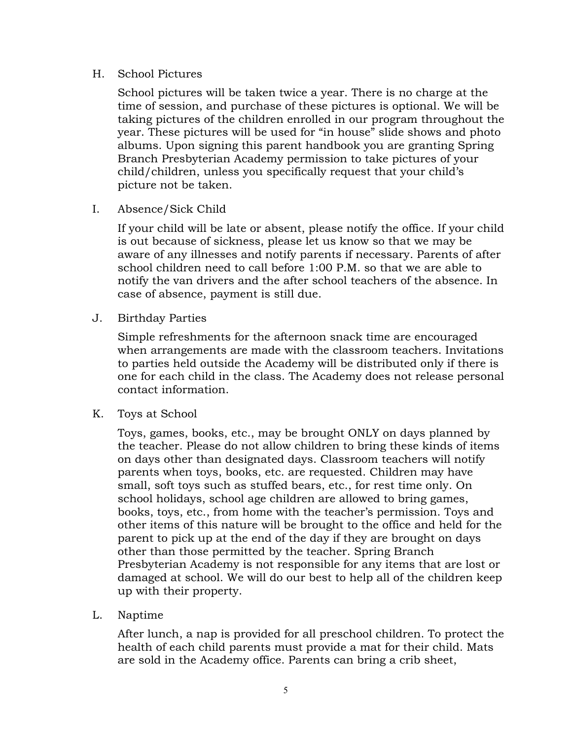#### H. School Pictures

School pictures will be taken twice a year. There is no charge at the time of session, and purchase of these pictures is optional. We will be taking pictures of the children enrolled in our program throughout the year. These pictures will be used for "in house" slide shows and photo albums. Upon signing this parent handbook you are granting Spring Branch Presbyterian Academy permission to take pictures of your child/children, unless you specifically request that your child's picture not be taken.

I. Absence/Sick Child

If your child will be late or absent, please notify the office. If your child is out because of sickness, please let us know so that we may be aware of any illnesses and notify parents if necessary. Parents of after school children need to call before 1:00 P.M. so that we are able to notify the van drivers and the after school teachers of the absence. In case of absence, payment is still due.

J. Birthday Parties

Simple refreshments for the afternoon snack time are encouraged when arrangements are made with the classroom teachers. Invitations to parties held outside the Academy will be distributed only if there is one for each child in the class. The Academy does not release personal contact information.

K. Toys at School

Toys, games, books, etc., may be brought ONLY on days planned by the teacher. Please do not allow children to bring these kinds of items on days other than designated days. Classroom teachers will notify parents when toys, books, etc. are requested. Children may have small, soft toys such as stuffed bears, etc., for rest time only. On school holidays, school age children are allowed to bring games, books, toys, etc., from home with the teacher's permission. Toys and other items of this nature will be brought to the office and held for the parent to pick up at the end of the day if they are brought on days other than those permitted by the teacher. Spring Branch Presbyterian Academy is not responsible for any items that are lost or damaged at school. We will do our best to help all of the children keep up with their property.

L. Naptime

After lunch, a nap is provided for all preschool children. To protect the health of each child parents must provide a mat for their child. Mats are sold in the Academy office. Parents can bring a crib sheet,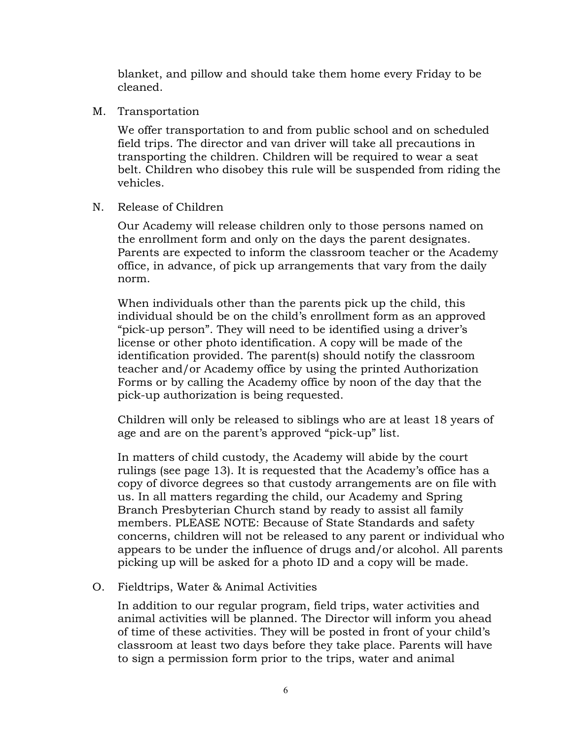blanket, and pillow and should take them home every Friday to be cleaned.

M. Transportation

We offer transportation to and from public school and on scheduled field trips. The director and van driver will take all precautions in transporting the children. Children will be required to wear a seat belt. Children who disobey this rule will be suspended from riding the vehicles.

N. Release of Children

Our Academy will release children only to those persons named on the enrollment form and only on the days the parent designates. Parents are expected to inform the classroom teacher or the Academy office, in advance, of pick up arrangements that vary from the daily norm.

When individuals other than the parents pick up the child, this individual should be on the child's enrollment form as an approved "pick-up person". They will need to be identified using a driver's license or other photo identification. A copy will be made of the identification provided. The parent(s) should notify the classroom teacher and/or Academy office by using the printed Authorization Forms or by calling the Academy office by noon of the day that the pick-up authorization is being requested.

Children will only be released to siblings who are at least 18 years of age and are on the parent's approved "pick-up" list.

In matters of child custody, the Academy will abide by the court rulings (see page 13). It is requested that the Academy's office has a copy of divorce degrees so that custody arrangements are on file with us. In all matters regarding the child, our Academy and Spring Branch Presbyterian Church stand by ready to assist all family members. PLEASE NOTE: Because of State Standards and safety concerns, children will not be released to any parent or individual who appears to be under the influence of drugs and/or alcohol. All parents picking up will be asked for a photo ID and a copy will be made.

#### O. Fieldtrips, Water & Animal Activities

In addition to our regular program, field trips, water activities and animal activities will be planned. The Director will inform you ahead of time of these activities. They will be posted in front of your child's classroom at least two days before they take place. Parents will have to sign a permission form prior to the trips, water and animal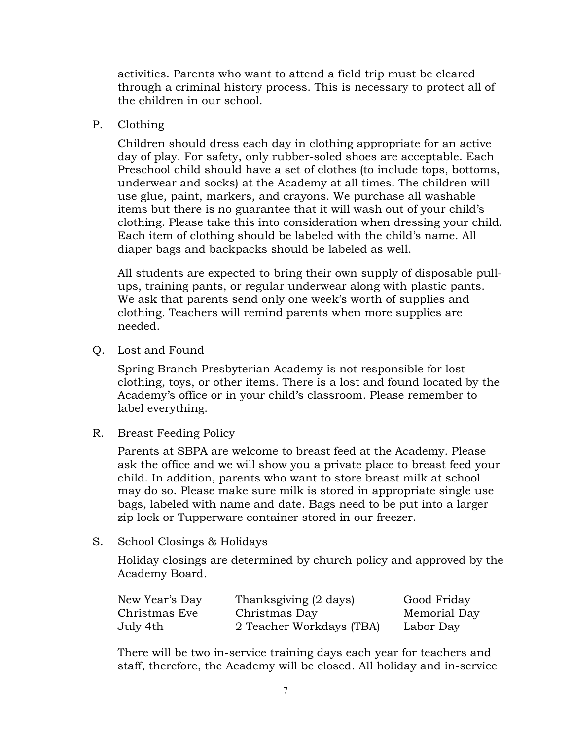activities. Parents who want to attend a field trip must be cleared through a criminal history process. This is necessary to protect all of the children in our school.

P. Clothing

Children should dress each day in clothing appropriate for an active day of play. For safety, only rubber-soled shoes are acceptable. Each Preschool child should have a set of clothes (to include tops, bottoms, underwear and socks) at the Academy at all times. The children will use glue, paint, markers, and crayons. We purchase all washable items but there is no guarantee that it will wash out of your child's clothing. Please take this into consideration when dressing your child. Each item of clothing should be labeled with the child's name. All diaper bags and backpacks should be labeled as well.

All students are expected to bring their own supply of disposable pullups, training pants, or regular underwear along with plastic pants. We ask that parents send only one week's worth of supplies and clothing. Teachers will remind parents when more supplies are needed.

Q. Lost and Found

Spring Branch Presbyterian Academy is not responsible for lost clothing, toys, or other items. There is a lost and found located by the Academy's office or in your child's classroom. Please remember to label everything.

R. Breast Feeding Policy

Parents at SBPA are welcome to breast feed at the Academy. Please ask the office and we will show you a private place to breast feed your child. In addition, parents who want to store breast milk at school may do so. Please make sure milk is stored in appropriate single use bags, labeled with name and date. Bags need to be put into a larger zip lock or Tupperware container stored in our freezer.

S. School Closings & Holidays

Holiday closings are determined by church policy and approved by the Academy Board.

| New Year's Day | Thanksgiving (2 days)    | Good Friday  |
|----------------|--------------------------|--------------|
| Christmas Eve  | Christmas Day            | Memorial Day |
| July 4th       | 2 Teacher Workdays (TBA) | Labor Day    |

There will be two in-service training days each year for teachers and staff, therefore, the Academy will be closed. All holiday and in-service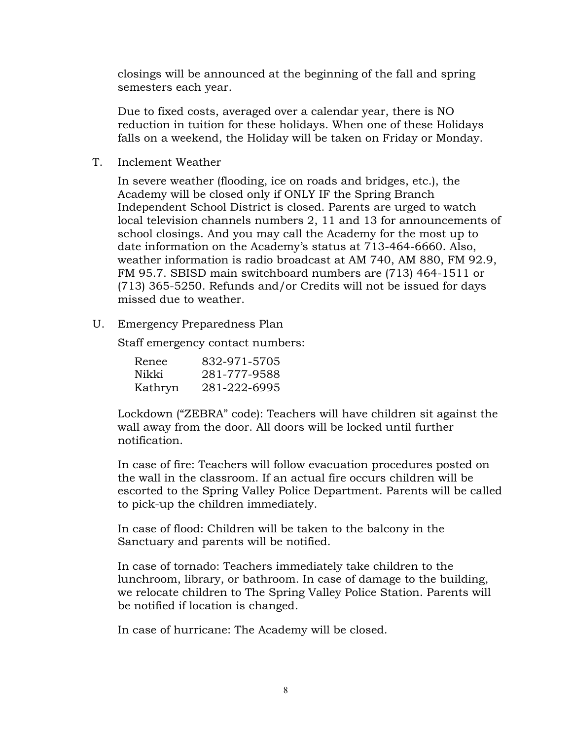closings will be announced at the beginning of the fall and spring semesters each year.

Due to fixed costs, averaged over a calendar year, there is NO reduction in tuition for these holidays. When one of these Holidays falls on a weekend, the Holiday will be taken on Friday or Monday.

T. Inclement Weather

In severe weather (flooding, ice on roads and bridges, etc.), the Academy will be closed only if ONLY IF the Spring Branch Independent School District is closed. Parents are urged to watch local television channels numbers 2, 11 and 13 for announcements of school closings. And you may call the Academy for the most up to date information on the Academy's status at 713-464-6660. Also, weather information is radio broadcast at AM 740, AM 880, FM 92.9, FM 95.7. SBISD main switchboard numbers are (713) 464-1511 or (713) 365-5250. Refunds and/or Credits will not be issued for days missed due to weather.

U. Emergency Preparedness Plan

Staff emergency contact numbers:

| Renee   | 832-971-5705 |
|---------|--------------|
| Nikki   | 281-777-9588 |
| Kathryn | 281-222-6995 |

Lockdown ("ZEBRA" code): Teachers will have children sit against the wall away from the door. All doors will be locked until further notification.

In case of fire: Teachers will follow evacuation procedures posted on the wall in the classroom. If an actual fire occurs children will be escorted to the Spring Valley Police Department. Parents will be called to pick-up the children immediately.

In case of flood: Children will be taken to the balcony in the Sanctuary and parents will be notified.

In case of tornado: Teachers immediately take children to the lunchroom, library, or bathroom. In case of damage to the building, we relocate children to The Spring Valley Police Station. Parents will be notified if location is changed.

In case of hurricane: The Academy will be closed.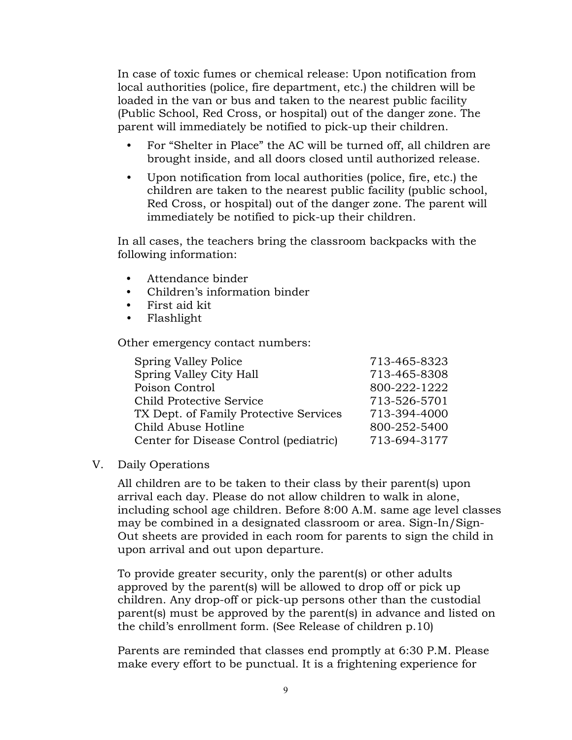In case of toxic fumes or chemical release: Upon notification from local authorities (police, fire department, etc.) the children will be loaded in the van or bus and taken to the nearest public facility (Public School, Red Cross, or hospital) out of the danger zone. The parent will immediately be notified to pick-up their children.

- For "Shelter in Place" the AC will be turned off, all children are brought inside, and all doors closed until authorized release.
- Upon notification from local authorities (police, fire, etc.) the children are taken to the nearest public facility (public school, Red Cross, or hospital) out of the danger zone. The parent will immediately be notified to pick-up their children.

In all cases, the teachers bring the classroom backpacks with the following information:

- Attendance binder
- Children's information binder
- First aid kit
- Flashlight

Other emergency contact numbers:

| 713-465-8323 |
|--------------|
| 713-465-8308 |
| 800-222-1222 |
| 713-526-5701 |
| 713-394-4000 |
| 800-252-5400 |
| 713-694-3177 |
|              |

V. Daily Operations

All children are to be taken to their class by their parent(s) upon arrival each day. Please do not allow children to walk in alone, including school age children. Before 8:00 A.M. same age level classes may be combined in a designated classroom or area. Sign-In/Sign-Out sheets are provided in each room for parents to sign the child in upon arrival and out upon departure.

To provide greater security, only the parent(s) or other adults approved by the parent(s) will be allowed to drop off or pick up children. Any drop-off or pick-up persons other than the custodial parent(s) must be approved by the parent(s) in advance and listed on the child's enrollment form. (See Release of children p.10)

Parents are reminded that classes end promptly at 6:30 P.M. Please make every effort to be punctual. It is a frightening experience for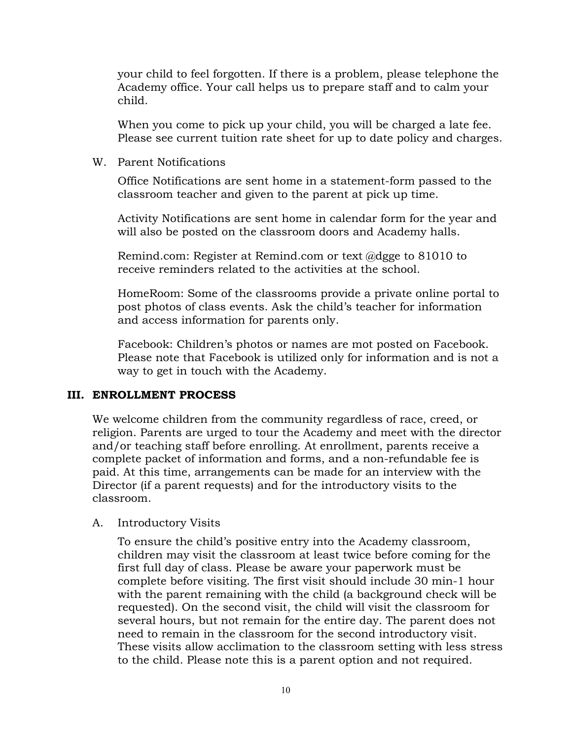your child to feel forgotten. If there is a problem, please telephone the Academy office. Your call helps us to prepare staff and to calm your child.

When you come to pick up your child, you will be charged a late fee. Please see current tuition rate sheet for up to date policy and charges.

#### W. Parent Notifications

Office Notifications are sent home in a statement-form passed to the classroom teacher and given to the parent at pick up time.

Activity Notifications are sent home in calendar form for the year and will also be posted on the classroom doors and Academy halls.

Remind.com: Register at Remind.com or text @dgge to 81010 to receive reminders related to the activities at the school.

HomeRoom: Some of the classrooms provide a private online portal to post photos of class events. Ask the child's teacher for information and access information for parents only.

Facebook: Children's photos or names are mot posted on Facebook. Please note that Facebook is utilized only for information and is not a way to get in touch with the Academy.

#### **III. ENROLLMENT PROCESS**

We welcome children from the community regardless of race, creed, or religion. Parents are urged to tour the Academy and meet with the director and/or teaching staff before enrolling. At enrollment, parents receive a complete packet of information and forms, and a non-refundable fee is paid. At this time, arrangements can be made for an interview with the Director (if a parent requests) and for the introductory visits to the classroom.

#### A. Introductory Visits

To ensure the child's positive entry into the Academy classroom, children may visit the classroom at least twice before coming for the first full day of class. Please be aware your paperwork must be complete before visiting. The first visit should include 30 min-1 hour with the parent remaining with the child (a background check will be requested). On the second visit, the child will visit the classroom for several hours, but not remain for the entire day. The parent does not need to remain in the classroom for the second introductory visit. These visits allow acclimation to the classroom setting with less stress to the child. Please note this is a parent option and not required.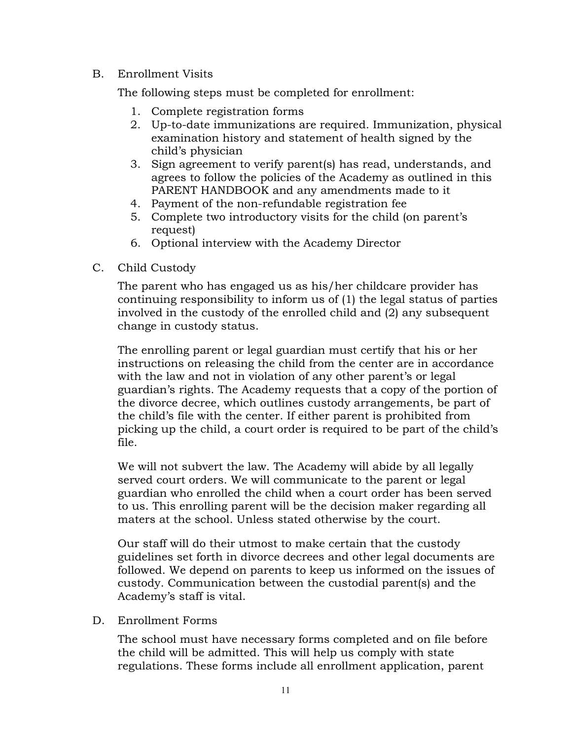#### B. Enrollment Visits

The following steps must be completed for enrollment:

- 1. Complete registration forms
- 2. Up-to-date immunizations are required. Immunization, physical examination history and statement of health signed by the child's physician
- 3. Sign agreement to verify parent(s) has read, understands, and agrees to follow the policies of the Academy as outlined in this PARENT HANDBOOK and any amendments made to it
- 4. Payment of the non-refundable registration fee
- 5. Complete two introductory visits for the child (on parent's request)
- 6. Optional interview with the Academy Director
- C. Child Custody

The parent who has engaged us as his/her childcare provider has continuing responsibility to inform us of (1) the legal status of parties involved in the custody of the enrolled child and (2) any subsequent change in custody status.

The enrolling parent or legal guardian must certify that his or her instructions on releasing the child from the center are in accordance with the law and not in violation of any other parent's or legal guardian's rights. The Academy requests that a copy of the portion of the divorce decree, which outlines custody arrangements, be part of the child's file with the center. If either parent is prohibited from picking up the child, a court order is required to be part of the child's file.

We will not subvert the law. The Academy will abide by all legally served court orders. We will communicate to the parent or legal guardian who enrolled the child when a court order has been served to us. This enrolling parent will be the decision maker regarding all maters at the school. Unless stated otherwise by the court.

Our staff will do their utmost to make certain that the custody guidelines set forth in divorce decrees and other legal documents are followed. We depend on parents to keep us informed on the issues of custody. Communication between the custodial parent(s) and the Academy's staff is vital.

D. Enrollment Forms

The school must have necessary forms completed and on file before the child will be admitted. This will help us comply with state regulations. These forms include all enrollment application, parent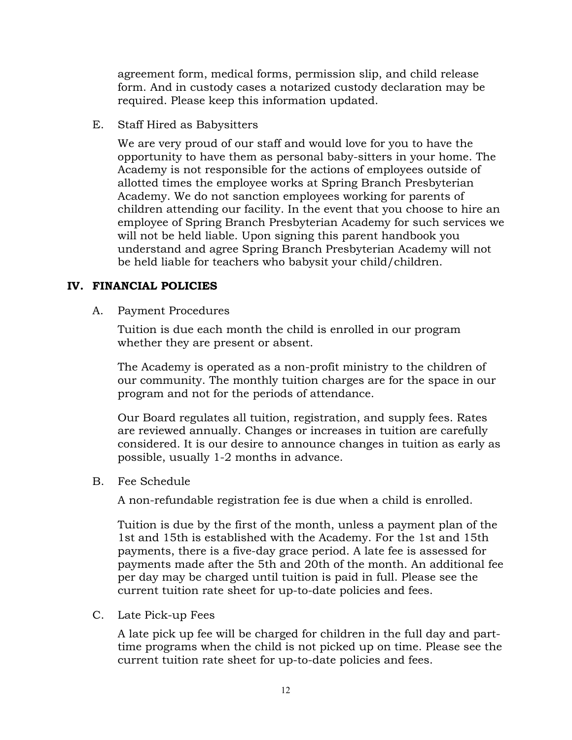agreement form, medical forms, permission slip, and child release form. And in custody cases a notarized custody declaration may be required. Please keep this information updated.

E. Staff Hired as Babysitters

We are very proud of our staff and would love for you to have the opportunity to have them as personal baby-sitters in your home. The Academy is not responsible for the actions of employees outside of allotted times the employee works at Spring Branch Presbyterian Academy. We do not sanction employees working for parents of children attending our facility. In the event that you choose to hire an employee of Spring Branch Presbyterian Academy for such services we will not be held liable. Upon signing this parent handbook you understand and agree Spring Branch Presbyterian Academy will not be held liable for teachers who babysit your child/children.

#### **IV. FINANCIAL POLICIES**

A. Payment Procedures

Tuition is due each month the child is enrolled in our program whether they are present or absent.

The Academy is operated as a non-profit ministry to the children of our community. The monthly tuition charges are for the space in our program and not for the periods of attendance.

Our Board regulates all tuition, registration, and supply fees. Rates are reviewed annually. Changes or increases in tuition are carefully considered. It is our desire to announce changes in tuition as early as possible, usually 1-2 months in advance.

B. Fee Schedule

A non-refundable registration fee is due when a child is enrolled.

Tuition is due by the first of the month, unless a payment plan of the 1st and 15th is established with the Academy. For the 1st and 15th payments, there is a five-day grace period. A late fee is assessed for payments made after the 5th and 20th of the month. An additional fee per day may be charged until tuition is paid in full. Please see the current tuition rate sheet for up-to-date policies and fees.

C. Late Pick-up Fees

A late pick up fee will be charged for children in the full day and parttime programs when the child is not picked up on time. Please see the current tuition rate sheet for up-to-date policies and fees.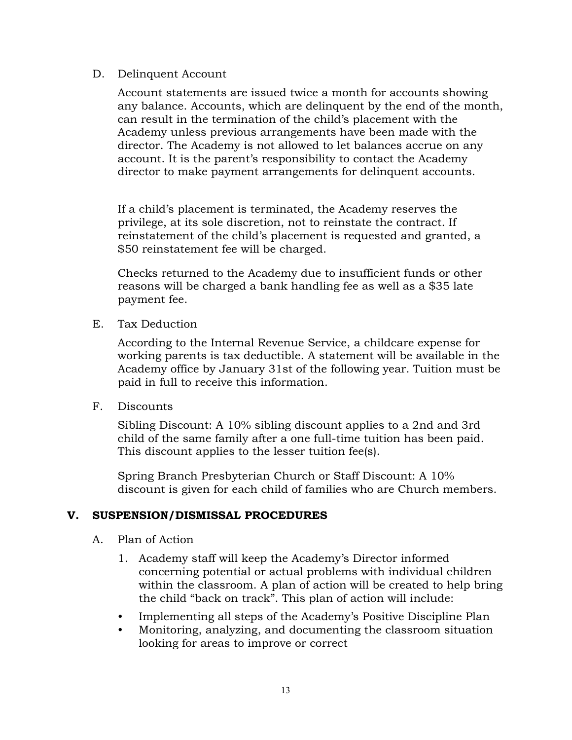#### D. Delinquent Account

Account statements are issued twice a month for accounts showing any balance. Accounts, which are delinquent by the end of the month, can result in the termination of the child's placement with the Academy unless previous arrangements have been made with the director. The Academy is not allowed to let balances accrue on any account. It is the parent's responsibility to contact the Academy director to make payment arrangements for delinquent accounts.

If a child's placement is terminated, the Academy reserves the privilege, at its sole discretion, not to reinstate the contract. If reinstatement of the child's placement is requested and granted, a \$50 reinstatement fee will be charged.

Checks returned to the Academy due to insufficient funds or other reasons will be charged a bank handling fee as well as a \$35 late payment fee.

E. Tax Deduction

According to the Internal Revenue Service, a childcare expense for working parents is tax deductible. A statement will be available in the Academy office by January 31st of the following year. Tuition must be paid in full to receive this information.

F. Discounts

Sibling Discount: A 10% sibling discount applies to a 2nd and 3rd child of the same family after a one full-time tuition has been paid. This discount applies to the lesser tuition fee(s).

Spring Branch Presbyterian Church or Staff Discount: A 10% discount is given for each child of families who are Church members.

#### **V. SUSPENSION/DISMISSAL PROCEDURES**

- A. Plan of Action
	- 1. Academy staff will keep the Academy's Director informed concerning potential or actual problems with individual children within the classroom. A plan of action will be created to help bring the child "back on track". This plan of action will include:
	- Implementing all steps of the Academy's Positive Discipline Plan
	- Monitoring, analyzing, and documenting the classroom situation looking for areas to improve or correct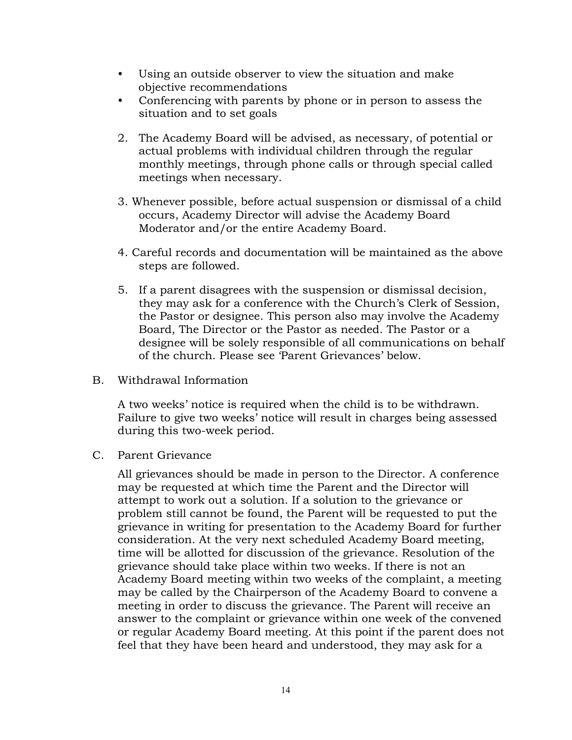- Using an outside observer to view the situation and make objective recommendations
- Conferencing with parents by phone or in person to assess the situation and to set goals
- 2. The Academy Board will be advised, as necessary, of potential or actual problems with individual children through the regular monthly meetings, through phone calls or through special called meetings when necessary.
- 3. Whenever possible, before actual suspension or dismissal of a child occurs, Academy Director will advise the Academy Board Moderator and/or the entire Academy Board.
- 4. Careful records and documentation will be maintained as the above steps are followed.
- 5. If a parent disagrees with the suspension or dismissal decision, they may ask for a conference with the Church's Clerk of Session, the Pastor or designee. This person also may involve the Academy Board, The Director or the Pastor as needed. The Pastor or a designee will be solely responsible of all communications on behalf of the church. Please see 'Parent Grievances' below.
- B. Withdrawal Information

A two weeks' notice is required when the child is to be withdrawn. Failure to give two weeks' notice will result in charges being assessed during this two-week period.

C. Parent Grievance

All grievances should be made in person to the Director. A conference may be requested at which time the Parent and the Director will attempt to work out a solution. If a solution to the grievance or problem still cannot be found, the Parent will be requested to put the grievance in writing for presentation to the Academy Board for further consideration. At the very next scheduled Academy Board meeting, time will be allotted for discussion of the grievance. Resolution of the grievance should take place within two weeks. If there is not an Academy Board meeting within two weeks of the complaint, a meeting may be called by the Chairperson of the Academy Board to convene a meeting in order to discuss the grievance. The Parent will receive an answer to the complaint or grievance within one week of the convened or regular Academy Board meeting. At this point if the parent does not feel that they have been heard and understood, they may ask for a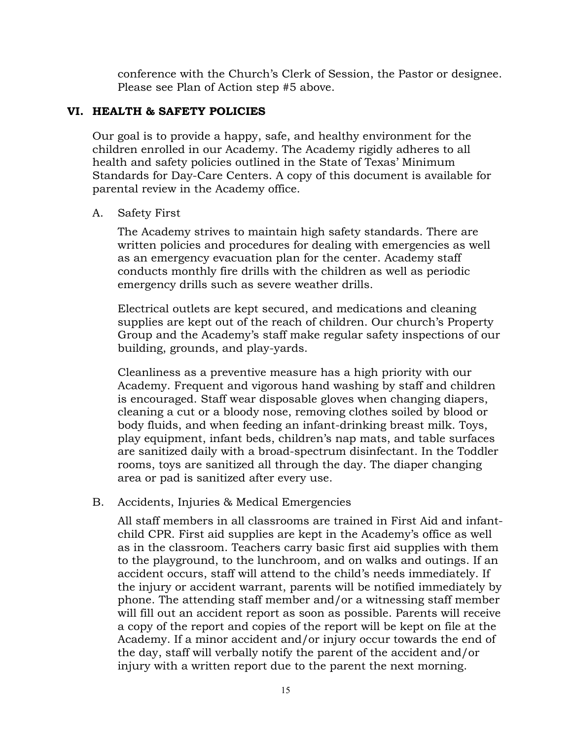conference with the Church's Clerk of Session, the Pastor or designee. Please see Plan of Action step #5 above.

#### **VI. HEALTH & SAFETY POLICIES**

Our goal is to provide a happy, safe, and healthy environment for the children enrolled in our Academy. The Academy rigidly adheres to all health and safety policies outlined in the State of Texas' Minimum Standards for Day-Care Centers. A copy of this document is available for parental review in the Academy office.

#### A. Safety First

The Academy strives to maintain high safety standards. There are written policies and procedures for dealing with emergencies as well as an emergency evacuation plan for the center. Academy staff conducts monthly fire drills with the children as well as periodic emergency drills such as severe weather drills.

Electrical outlets are kept secured, and medications and cleaning supplies are kept out of the reach of children. Our church's Property Group and the Academy's staff make regular safety inspections of our building, grounds, and play-yards.

Cleanliness as a preventive measure has a high priority with our Academy. Frequent and vigorous hand washing by staff and children is encouraged. Staff wear disposable gloves when changing diapers, cleaning a cut or a bloody nose, removing clothes soiled by blood or body fluids, and when feeding an infant-drinking breast milk. Toys, play equipment, infant beds, children's nap mats, and table surfaces are sanitized daily with a broad-spectrum disinfectant. In the Toddler rooms, toys are sanitized all through the day. The diaper changing area or pad is sanitized after every use.

#### B. Accidents, Injuries & Medical Emergencies

All staff members in all classrooms are trained in First Aid and infantchild CPR. First aid supplies are kept in the Academy's office as well as in the classroom. Teachers carry basic first aid supplies with them to the playground, to the lunchroom, and on walks and outings. If an accident occurs, staff will attend to the child's needs immediately. If the injury or accident warrant, parents will be notified immediately by phone. The attending staff member and/or a witnessing staff member will fill out an accident report as soon as possible. Parents will receive a copy of the report and copies of the report will be kept on file at the Academy. If a minor accident and/or injury occur towards the end of the day, staff will verbally notify the parent of the accident and/or injury with a written report due to the parent the next morning.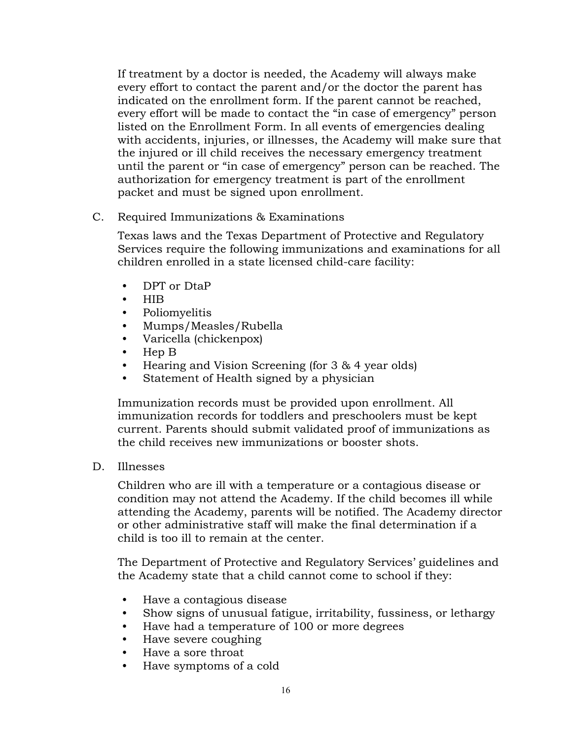If treatment by a doctor is needed, the Academy will always make every effort to contact the parent and/or the doctor the parent has indicated on the enrollment form. If the parent cannot be reached, every effort will be made to contact the "in case of emergency" person listed on the Enrollment Form. In all events of emergencies dealing with accidents, injuries, or illnesses, the Academy will make sure that the injured or ill child receives the necessary emergency treatment until the parent or "in case of emergency" person can be reached. The authorization for emergency treatment is part of the enrollment packet and must be signed upon enrollment.

C. Required Immunizations & Examinations

Texas laws and the Texas Department of Protective and Regulatory Services require the following immunizations and examinations for all children enrolled in a state licensed child-care facility:

- DPT or DtaP
- HIB
- Poliomyelitis
- Mumps/Measles/Rubella
- Varicella (chickenpox)
- Hep B
- Hearing and Vision Screening (for 3 & 4 year olds)
- Statement of Health signed by a physician

Immunization records must be provided upon enrollment. All immunization records for toddlers and preschoolers must be kept current. Parents should submit validated proof of immunizations as the child receives new immunizations or booster shots.

D. Illnesses

Children who are ill with a temperature or a contagious disease or condition may not attend the Academy. If the child becomes ill while attending the Academy, parents will be notified. The Academy director or other administrative staff will make the final determination if a child is too ill to remain at the center.

The Department of Protective and Regulatory Services' guidelines and the Academy state that a child cannot come to school if they:

- Have a contagious disease
- Show signs of unusual fatigue, irritability, fussiness, or lethargy
- Have had a temperature of 100 or more degrees
- Have severe coughing
- Have a sore throat
- Have symptoms of a cold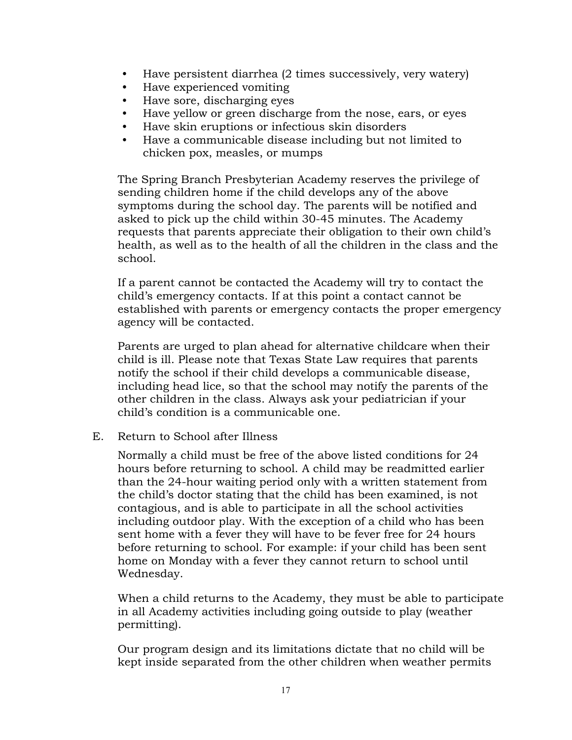- Have persistent diarrhea (2 times successively, very watery)
- Have experienced vomiting
- Have sore, discharging eyes
- Have yellow or green discharge from the nose, ears, or eyes
- Have skin eruptions or infectious skin disorders
- Have a communicable disease including but not limited to chicken pox, measles, or mumps

The Spring Branch Presbyterian Academy reserves the privilege of sending children home if the child develops any of the above symptoms during the school day. The parents will be notified and asked to pick up the child within 30-45 minutes. The Academy requests that parents appreciate their obligation to their own child's health, as well as to the health of all the children in the class and the school.

If a parent cannot be contacted the Academy will try to contact the child's emergency contacts. If at this point a contact cannot be established with parents or emergency contacts the proper emergency agency will be contacted.

Parents are urged to plan ahead for alternative childcare when their child is ill. Please note that Texas State Law requires that parents notify the school if their child develops a communicable disease, including head lice, so that the school may notify the parents of the other children in the class. Always ask your pediatrician if your child's condition is a communicable one.

E. Return to School after Illness

Normally a child must be free of the above listed conditions for 24 hours before returning to school. A child may be readmitted earlier than the 24-hour waiting period only with a written statement from the child's doctor stating that the child has been examined, is not contagious, and is able to participate in all the school activities including outdoor play. With the exception of a child who has been sent home with a fever they will have to be fever free for 24 hours before returning to school. For example: if your child has been sent home on Monday with a fever they cannot return to school until Wednesday.

When a child returns to the Academy, they must be able to participate in all Academy activities including going outside to play (weather permitting).

Our program design and its limitations dictate that no child will be kept inside separated from the other children when weather permits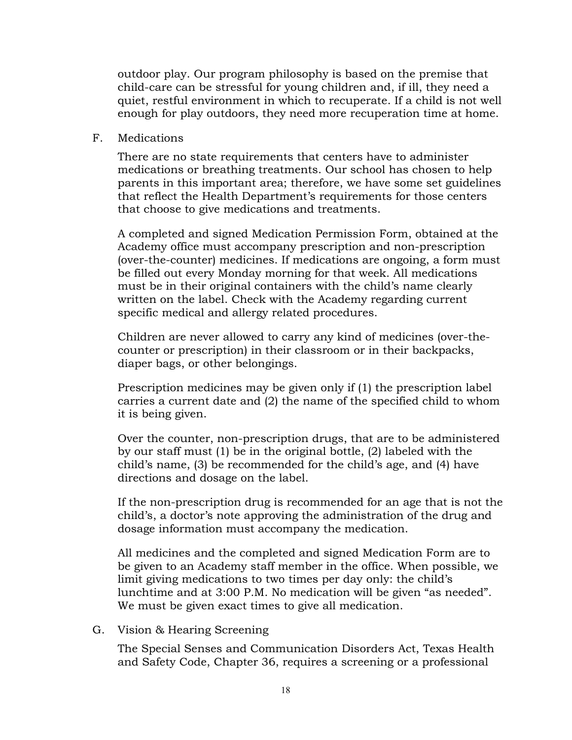outdoor play. Our program philosophy is based on the premise that child-care can be stressful for young children and, if ill, they need a quiet, restful environment in which to recuperate. If a child is not well enough for play outdoors, they need more recuperation time at home.

#### F. Medications

There are no state requirements that centers have to administer medications or breathing treatments. Our school has chosen to help parents in this important area; therefore, we have some set guidelines that reflect the Health Department's requirements for those centers that choose to give medications and treatments.

A completed and signed Medication Permission Form, obtained at the Academy office must accompany prescription and non-prescription (over-the-counter) medicines. If medications are ongoing, a form must be filled out every Monday morning for that week. All medications must be in their original containers with the child's name clearly written on the label. Check with the Academy regarding current specific medical and allergy related procedures.

Children are never allowed to carry any kind of medicines (over-thecounter or prescription) in their classroom or in their backpacks, diaper bags, or other belongings.

Prescription medicines may be given only if (1) the prescription label carries a current date and (2) the name of the specified child to whom it is being given.

Over the counter, non-prescription drugs, that are to be administered by our staff must (1) be in the original bottle, (2) labeled with the child's name, (3) be recommended for the child's age, and (4) have directions and dosage on the label.

If the non-prescription drug is recommended for an age that is not the child's, a doctor's note approving the administration of the drug and dosage information must accompany the medication.

All medicines and the completed and signed Medication Form are to be given to an Academy staff member in the office. When possible, we limit giving medications to two times per day only: the child's lunchtime and at 3:00 P.M. No medication will be given "as needed". We must be given exact times to give all medication.

G. Vision & Hearing Screening

The Special Senses and Communication Disorders Act, Texas Health and Safety Code, Chapter 36, requires a screening or a professional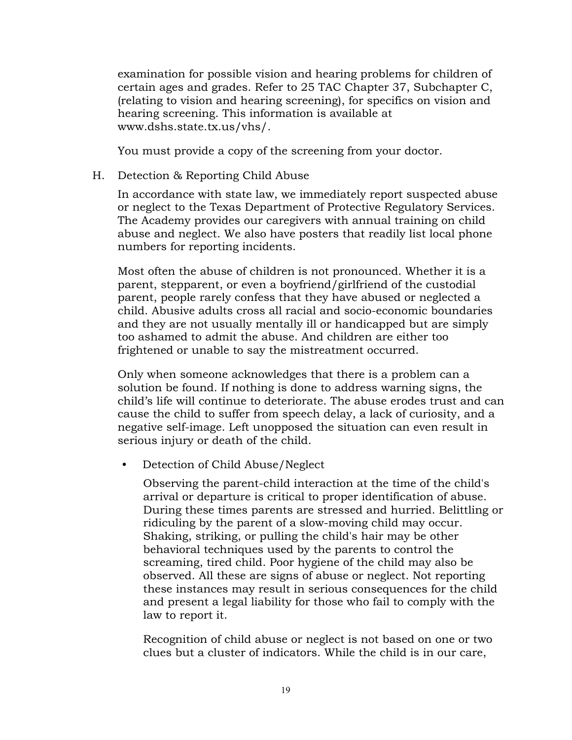examination for possible vision and hearing problems for children of certain ages and grades. Refer to 25 TAC Chapter 37, Subchapter C, (relating to vision and hearing screening), for specifics on vision and hearing screening. This information is available at www.dshs.state.tx.us/vhs/.

You must provide a copy of the screening from your doctor.

H. Detection & Reporting Child Abuse

In accordance with state law, we immediately report suspected abuse or neglect to the Texas Department of Protective Regulatory Services. The Academy provides our caregivers with annual training on child abuse and neglect. We also have posters that readily list local phone numbers for reporting incidents.

Most often the abuse of children is not pronounced. Whether it is a parent, stepparent, or even a boyfriend/girlfriend of the custodial parent, people rarely confess that they have abused or neglected a child. Abusive adults cross all racial and socio-economic boundaries and they are not usually mentally ill or handicapped but are simply too ashamed to admit the abuse. And children are either too frightened or unable to say the mistreatment occurred.

Only when someone acknowledges that there is a problem can a solution be found. If nothing is done to address warning signs, the child's life will continue to deteriorate. The abuse erodes trust and can cause the child to suffer from speech delay, a lack of curiosity, and a negative self-image. Left unopposed the situation can even result in serious injury or death of the child.

• Detection of Child Abuse/Neglect

Observing the parent-child interaction at the time of the child's arrival or departure is critical to proper identification of abuse. During these times parents are stressed and hurried. Belittling or ridiculing by the parent of a slow-moving child may occur. Shaking, striking, or pulling the child's hair may be other behavioral techniques used by the parents to control the screaming, tired child. Poor hygiene of the child may also be observed. All these are signs of abuse or neglect. Not reporting these instances may result in serious consequences for the child and present a legal liability for those who fail to comply with the law to report it.

Recognition of child abuse or neglect is not based on one or two clues but a cluster of indicators. While the child is in our care,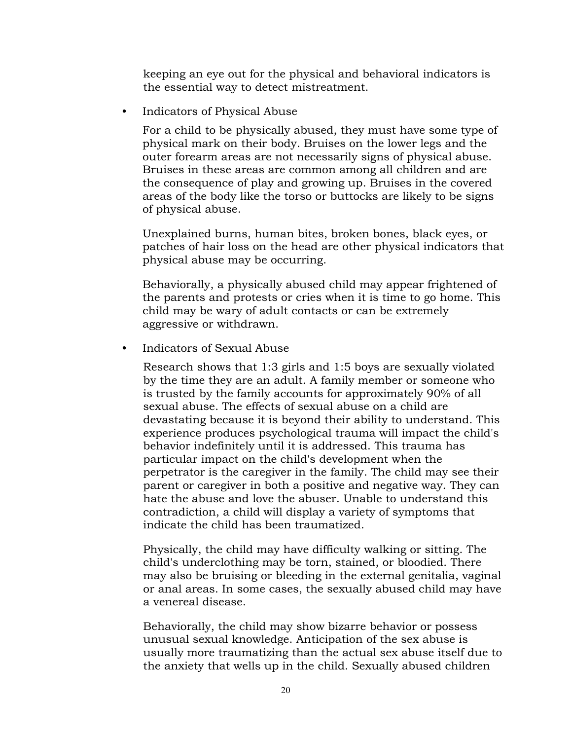keeping an eye out for the physical and behavioral indicators is the essential way to detect mistreatment.

• Indicators of Physical Abuse

For a child to be physically abused, they must have some type of physical mark on their body. Bruises on the lower legs and the outer forearm areas are not necessarily signs of physical abuse. Bruises in these areas are common among all children and are the consequence of play and growing up. Bruises in the covered areas of the body like the torso or buttocks are likely to be signs of physical abuse.

Unexplained burns, human bites, broken bones, black eyes, or patches of hair loss on the head are other physical indicators that physical abuse may be occurring.

Behaviorally, a physically abused child may appear frightened of the parents and protests or cries when it is time to go home. This child may be wary of adult contacts or can be extremely aggressive or withdrawn.

• Indicators of Sexual Abuse

Research shows that 1:3 girls and 1:5 boys are sexually violated by the time they are an adult. A family member or someone who is trusted by the family accounts for approximately 90% of all sexual abuse. The effects of sexual abuse on a child are devastating because it is beyond their ability to understand. This experience produces psychological trauma will impact the child's behavior indefinitely until it is addressed. This trauma has particular impact on the child's development when the perpetrator is the caregiver in the family. The child may see their parent or caregiver in both a positive and negative way. They can hate the abuse and love the abuser. Unable to understand this contradiction, a child will display a variety of symptoms that indicate the child has been traumatized.

Physically, the child may have difficulty walking or sitting. The child's underclothing may be torn, stained, or bloodied. There may also be bruising or bleeding in the external genitalia, vaginal or anal areas. In some cases, the sexually abused child may have a venereal disease.

Behaviorally, the child may show bizarre behavior or possess unusual sexual knowledge. Anticipation of the sex abuse is usually more traumatizing than the actual sex abuse itself due to the anxiety that wells up in the child. Sexually abused children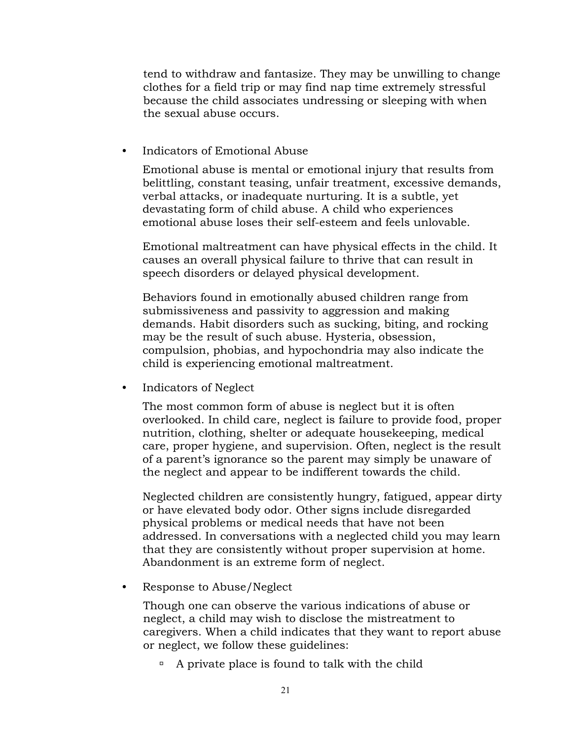tend to withdraw and fantasize. They may be unwilling to change clothes for a field trip or may find nap time extremely stressful because the child associates undressing or sleeping with when the sexual abuse occurs.

• Indicators of Emotional Abuse

Emotional abuse is mental or emotional injury that results from belittling, constant teasing, unfair treatment, excessive demands, verbal attacks, or inadequate nurturing. It is a subtle, yet devastating form of child abuse. A child who experiences emotional abuse loses their self-esteem and feels unlovable.

Emotional maltreatment can have physical effects in the child. It causes an overall physical failure to thrive that can result in speech disorders or delayed physical development.

Behaviors found in emotionally abused children range from submissiveness and passivity to aggression and making demands. Habit disorders such as sucking, biting, and rocking may be the result of such abuse. Hysteria, obsession, compulsion, phobias, and hypochondria may also indicate the child is experiencing emotional maltreatment.

• Indicators of Neglect

The most common form of abuse is neglect but it is often overlooked. In child care, neglect is failure to provide food, proper nutrition, clothing, shelter or adequate housekeeping, medical care, proper hygiene, and supervision. Often, neglect is the result of a parent's ignorance so the parent may simply be unaware of the neglect and appear to be indifferent towards the child.

Neglected children are consistently hungry, fatigued, appear dirty or have elevated body odor. Other signs include disregarded physical problems or medical needs that have not been addressed. In conversations with a neglected child you may learn that they are consistently without proper supervision at home. Abandonment is an extreme form of neglect.

• Response to Abuse/Neglect

Though one can observe the various indications of abuse or neglect, a child may wish to disclose the mistreatment to caregivers. When a child indicates that they want to report abuse or neglect, we follow these guidelines:

 $\Box$  A private place is found to talk with the child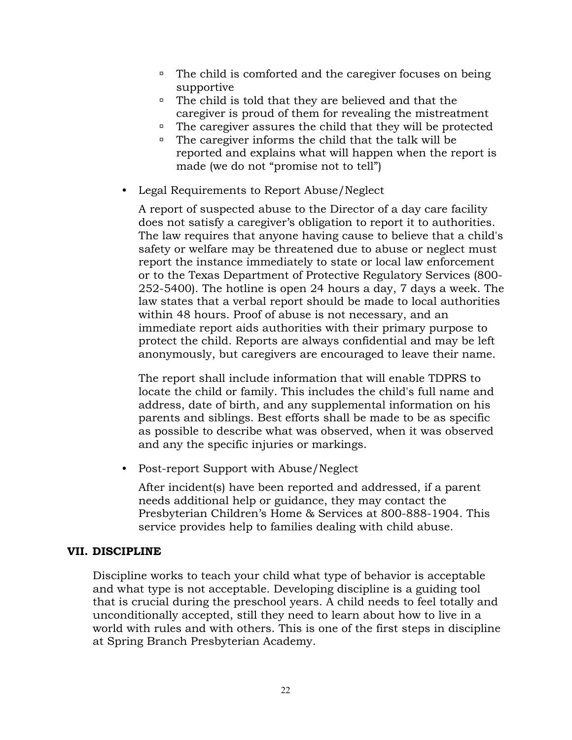- □ The child is comforted and the caregiver focuses on being supportive
- $\Box$  The child is told that they are believed and that the caregiver is proud of them for revealing the mistreatment
- □ The caregiver assures the child that they will be protected
- $\Box$  The caregiver informs the child that the talk will be reported and explains what will happen when the report is made (we do not "promise not to tell")
- Legal Requirements to Report Abuse/Neglect

A report of suspected abuse to the Director of a day care facility does not satisfy a caregiver's obligation to report it to authorities. The law requires that anyone having cause to believe that a child's safety or welfare may be threatened due to abuse or neglect must report the instance immediately to state or local law enforcement or to the Texas Department of Protective Regulatory Services (800- 252-5400). The hotline is open 24 hours a day, 7 days a week. The law states that a verbal report should be made to local authorities within 48 hours. Proof of abuse is not necessary, and an immediate report aids authorities with their primary purpose to protect the child. Reports are always confidential and may be left anonymously, but caregivers are encouraged to leave their name.

The report shall include information that will enable TDPRS to locate the child or family. This includes the child's full name and address, date of birth, and any supplemental information on his parents and siblings. Best efforts shall be made to be as specific as possible to describe what was observed, when it was observed and any the specific injuries or markings.

• Post-report Support with Abuse/Neglect

After incident(s) have been reported and addressed, if a parent needs additional help or guidance, they may contact the Presbyterian Children's Home & Services at 800-888-1904. This service provides help to families dealing with child abuse.

#### **VII. DISCIPLINE**

Discipline works to teach your child what type of behavior is acceptable and what type is not acceptable. Developing discipline is a guiding tool that is crucial during the preschool years. A child needs to feel totally and unconditionally accepted, still they need to learn about how to live in a world with rules and with others. This is one of the first steps in discipline at Spring Branch Presbyterian Academy.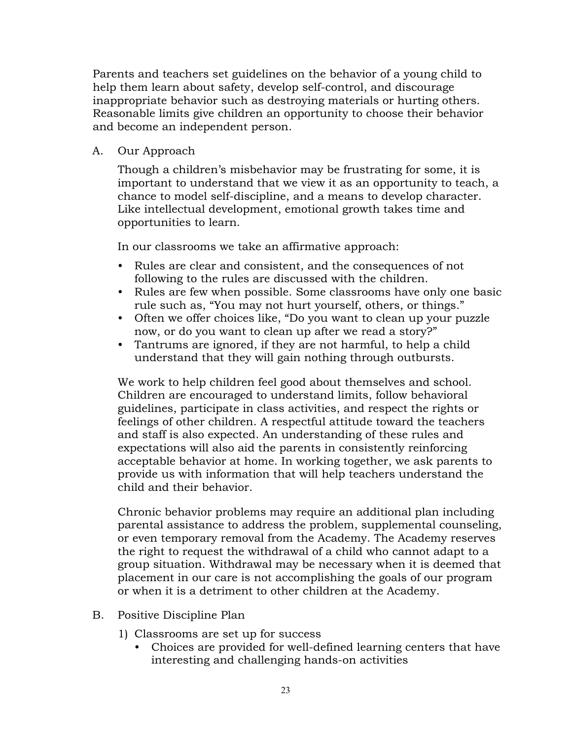Parents and teachers set guidelines on the behavior of a young child to help them learn about safety, develop self-control, and discourage inappropriate behavior such as destroying materials or hurting others. Reasonable limits give children an opportunity to choose their behavior and become an independent person.

A. Our Approach

Though a children's misbehavior may be frustrating for some, it is important to understand that we view it as an opportunity to teach, a chance to model self-discipline, and a means to develop character. Like intellectual development, emotional growth takes time and opportunities to learn.

In our classrooms we take an affirmative approach:

- Rules are clear and consistent, and the consequences of not following to the rules are discussed with the children.
- Rules are few when possible. Some classrooms have only one basic rule such as, "You may not hurt yourself, others, or things."
- Often we offer choices like, "Do you want to clean up your puzzle now, or do you want to clean up after we read a story?"
- Tantrums are ignored, if they are not harmful, to help a child understand that they will gain nothing through outbursts.

We work to help children feel good about themselves and school. Children are encouraged to understand limits, follow behavioral guidelines, participate in class activities, and respect the rights or feelings of other children. A respectful attitude toward the teachers and staff is also expected. An understanding of these rules and expectations will also aid the parents in consistently reinforcing acceptable behavior at home. In working together, we ask parents to provide us with information that will help teachers understand the child and their behavior.

Chronic behavior problems may require an additional plan including parental assistance to address the problem, supplemental counseling, or even temporary removal from the Academy. The Academy reserves the right to request the withdrawal of a child who cannot adapt to a group situation. Withdrawal may be necessary when it is deemed that placement in our care is not accomplishing the goals of our program or when it is a detriment to other children at the Academy.

- B. Positive Discipline Plan
	- 1) Classrooms are set up for success
		- Choices are provided for well-defined learning centers that have interesting and challenging hands-on activities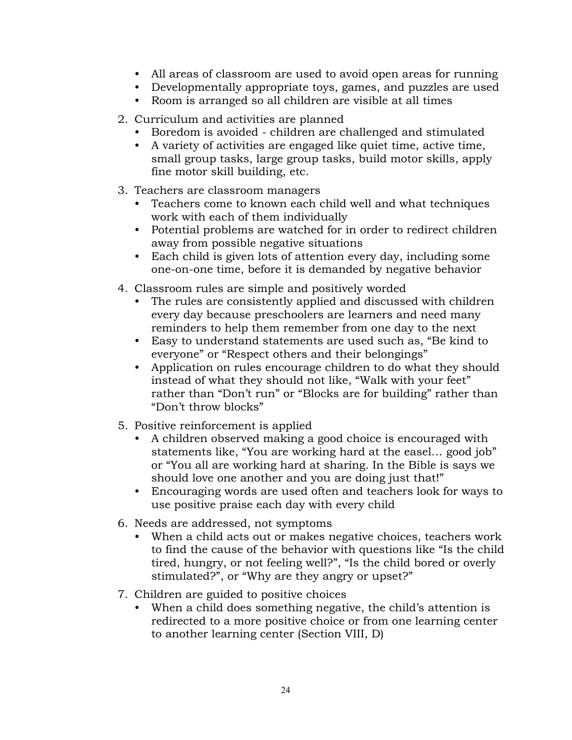- All areas of classroom are used to avoid open areas for running
- Developmentally appropriate toys, games, and puzzles are used
- Room is arranged so all children are visible at all times
- 2. Curriculum and activities are planned
	- Boredom is avoided children are challenged and stimulated
	- A variety of activities are engaged like quiet time, active time, small group tasks, large group tasks, build motor skills, apply fine motor skill building, etc.
- 3. Teachers are classroom managers
	- Teachers come to known each child well and what techniques work with each of them individually
	- Potential problems are watched for in order to redirect children away from possible negative situations
	- Each child is given lots of attention every day, including some one-on-one time, before it is demanded by negative behavior
- 4. Classroom rules are simple and positively worded
	- The rules are consistently applied and discussed with children every day because preschoolers are learners and need many reminders to help them remember from one day to the next
	- Easy to understand statements are used such as, "Be kind to everyone" or "Respect others and their belongings"
	- Application on rules encourage children to do what they should instead of what they should not like, "Walk with your feet" rather than "Don't run" or "Blocks are for building" rather than "Don't throw blocks"
- 5. Positive reinforcement is applied
	- A children observed making a good choice is encouraged with statements like, "You are working hard at the easel… good job" or "You all are working hard at sharing. In the Bible is says we should love one another and you are doing just that!"
	- Encouraging words are used often and teachers look for ways to use positive praise each day with every child
- 6. Needs are addressed, not symptoms
	- When a child acts out or makes negative choices, teachers work to find the cause of the behavior with questions like "Is the child tired, hungry, or not feeling well?", "Is the child bored or overly stimulated?", or "Why are they angry or upset?"
- 7. Children are guided to positive choices
	- When a child does something negative, the child's attention is redirected to a more positive choice or from one learning center to another learning center (Section VIII, D)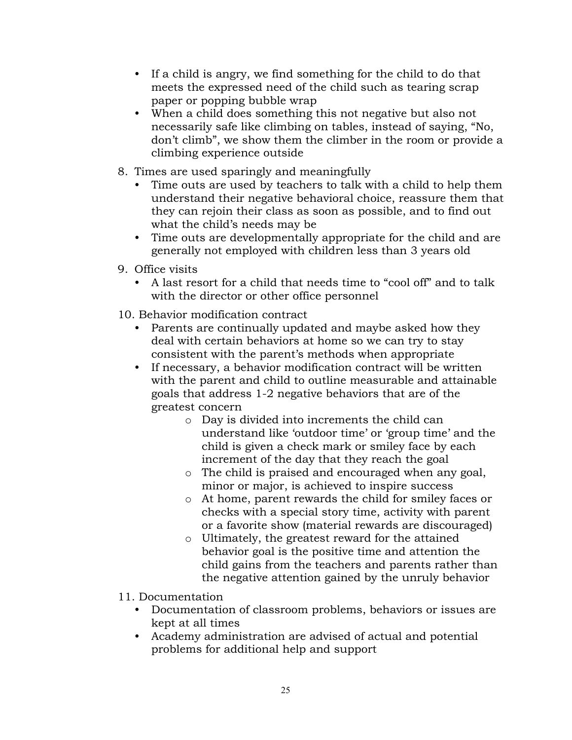- If a child is angry, we find something for the child to do that meets the expressed need of the child such as tearing scrap paper or popping bubble wrap
- When a child does something this not negative but also not necessarily safe like climbing on tables, instead of saying, "No, don't climb", we show them the climber in the room or provide a climbing experience outside
- 8. Times are used sparingly and meaningfully
	- Time outs are used by teachers to talk with a child to help them understand their negative behavioral choice, reassure them that they can rejoin their class as soon as possible, and to find out what the child's needs may be
	- Time outs are developmentally appropriate for the child and are generally not employed with children less than 3 years old
- 9. Office visits
	- A last resort for a child that needs time to "cool off" and to talk with the director or other office personnel
- 10. Behavior modification contract
	- Parents are continually updated and maybe asked how they deal with certain behaviors at home so we can try to stay consistent with the parent's methods when appropriate
	- If necessary, a behavior modification contract will be written with the parent and child to outline measurable and attainable goals that address 1-2 negative behaviors that are of the greatest concern
		- o Day is divided into increments the child can understand like 'outdoor time' or 'group time' and the child is given a check mark or smiley face by each increment of the day that they reach the goal
		- o The child is praised and encouraged when any goal, minor or major, is achieved to inspire success
		- o At home, parent rewards the child for smiley faces or checks with a special story time, activity with parent or a favorite show (material rewards are discouraged)
		- o Ultimately, the greatest reward for the attained behavior goal is the positive time and attention the child gains from the teachers and parents rather than the negative attention gained by the unruly behavior
- 11. Documentation
	- Documentation of classroom problems, behaviors or issues are kept at all times
	- Academy administration are advised of actual and potential problems for additional help and support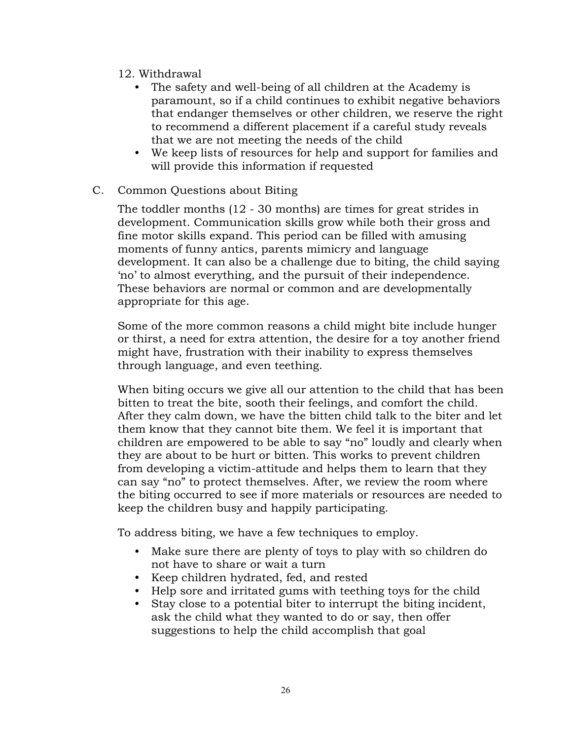- 12. Withdrawal
	- The safety and well-being of all children at the Academy is paramount, so if a child continues to exhibit negative behaviors that endanger themselves or other children, we reserve the right to recommend a different placement if a careful study reveals that we are not meeting the needs of the child
	- We keep lists of resources for help and support for families and will provide this information if requested
- C. Common Questions about Biting

The toddler months (12 - 30 months) are times for great strides in development. Communication skills grow while both their gross and fine motor skills expand. This period can be filled with amusing moments of funny antics, parents mimicry and language development. It can also be a challenge due to biting, the child saying 'no' to almost everything, and the pursuit of their independence. These behaviors are normal or common and are developmentally appropriate for this age.

Some of the more common reasons a child might bite include hunger or thirst, a need for extra attention, the desire for a toy another friend might have, frustration with their inability to express themselves through language, and even teething.

When biting occurs we give all our attention to the child that has been bitten to treat the bite, sooth their feelings, and comfort the child. After they calm down, we have the bitten child talk to the biter and let them know that they cannot bite them. We feel it is important that children are empowered to be able to say "no" loudly and clearly when they are about to be hurt or bitten. This works to prevent children from developing a victim-attitude and helps them to learn that they can say "no" to protect themselves. After, we review the room where the biting occurred to see if more materials or resources are needed to keep the children busy and happily participating.

To address biting, we have a few techniques to employ.

- Make sure there are plenty of toys to play with so children do not have to share or wait a turn
- Keep children hydrated, fed, and rested
- Help sore and irritated gums with teething toys for the child
- Stay close to a potential biter to interrupt the biting incident, ask the child what they wanted to do or say, then offer suggestions to help the child accomplish that goal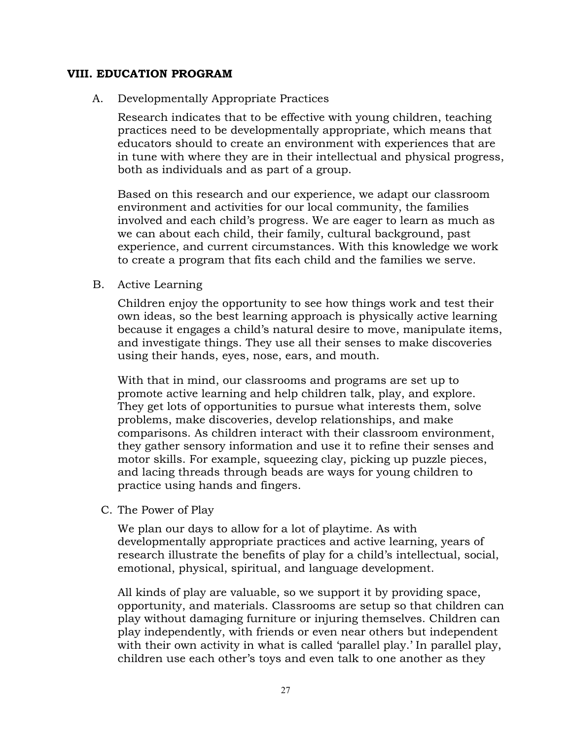#### **VIII. EDUCATION PROGRAM**

A. Developmentally Appropriate Practices

Research indicates that to be effective with young children, teaching practices need to be developmentally appropriate, which means that educators should to create an environment with experiences that are in tune with where they are in their intellectual and physical progress, both as individuals and as part of a group.

Based on this research and our experience, we adapt our classroom environment and activities for our local community, the families involved and each child's progress. We are eager to learn as much as we can about each child, their family, cultural background, past experience, and current circumstances. With this knowledge we work to create a program that fits each child and the families we serve.

B. Active Learning

Children enjoy the opportunity to see how things work and test their own ideas, so the best learning approach is physically active learning because it engages a child's natural desire to move, manipulate items, and investigate things. They use all their senses to make discoveries using their hands, eyes, nose, ears, and mouth.

With that in mind, our classrooms and programs are set up to promote active learning and help children talk, play, and explore. They get lots of opportunities to pursue what interests them, solve problems, make discoveries, develop relationships, and make comparisons. As children interact with their classroom environment, they gather sensory information and use it to refine their senses and motor skills. For example, squeezing clay, picking up puzzle pieces, and lacing threads through beads are ways for young children to practice using hands and fingers.

C. The Power of Play

We plan our days to allow for a lot of playtime. As with developmentally appropriate practices and active learning, years of research illustrate the benefits of play for a child's intellectual, social, emotional, physical, spiritual, and language development.

All kinds of play are valuable, so we support it by providing space, opportunity, and materials. Classrooms are setup so that children can play without damaging furniture or injuring themselves. Children can play independently, with friends or even near others but independent with their own activity in what is called 'parallel play.' In parallel play, children use each other's toys and even talk to one another as they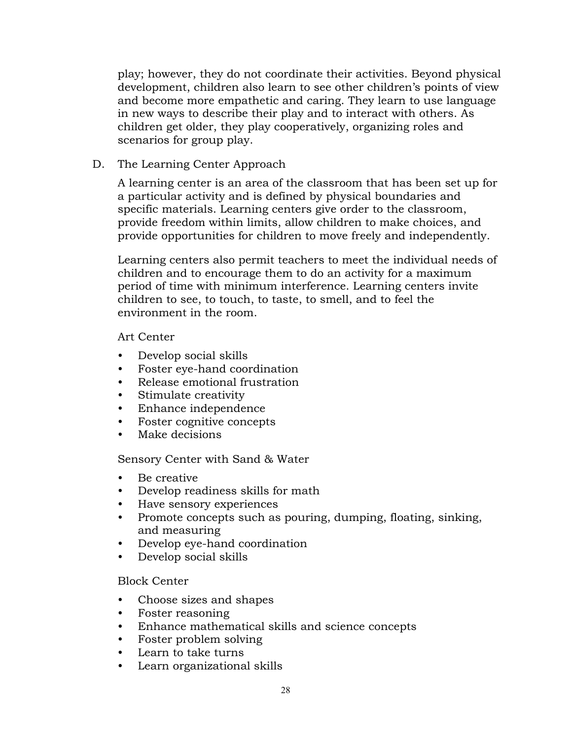play; however, they do not coordinate their activities. Beyond physical development, children also learn to see other children's points of view and become more empathetic and caring. They learn to use language in new ways to describe their play and to interact with others. As children get older, they play cooperatively, organizing roles and scenarios for group play.

#### D. The Learning Center Approach

A learning center is an area of the classroom that has been set up for a particular activity and is defined by physical boundaries and specific materials. Learning centers give order to the classroom, provide freedom within limits, allow children to make choices, and provide opportunities for children to move freely and independently.

Learning centers also permit teachers to meet the individual needs of children and to encourage them to do an activity for a maximum period of time with minimum interference. Learning centers invite children to see, to touch, to taste, to smell, and to feel the environment in the room.

#### Art Center

- Develop social skills
- Foster eye-hand coordination
- Release emotional frustration
- Stimulate creativity
- Enhance independence
- Foster cognitive concepts
- Make decisions

Sensory Center with Sand & Water

- Be creative
- Develop readiness skills for math
- Have sensory experiences
- Promote concepts such as pouring, dumping, floating, sinking, and measuring
- Develop eye-hand coordination
- Develop social skills

#### Block Center

- Choose sizes and shapes
- Foster reasoning
- Enhance mathematical skills and science concepts
- Foster problem solving
- Learn to take turns
- Learn organizational skills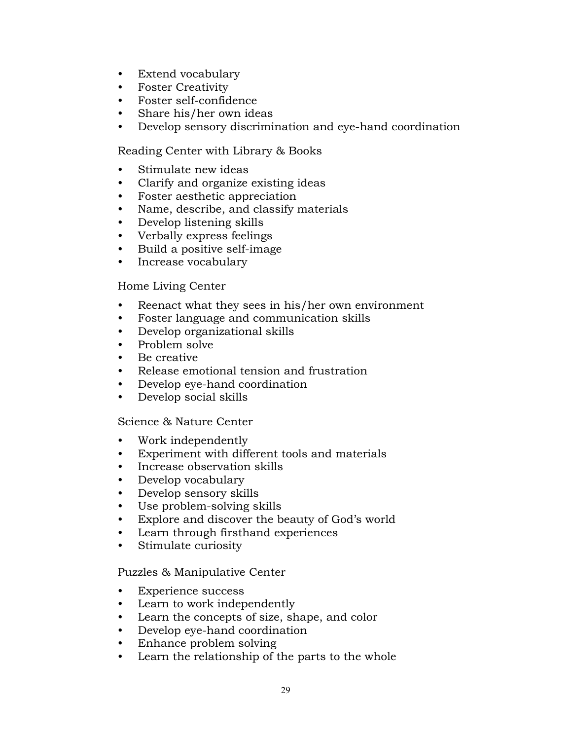- Extend vocabulary
- Foster Creativity
- Foster self-confidence
- Share his/her own ideas
- Develop sensory discrimination and eye-hand coordination

Reading Center with Library & Books

- Stimulate new ideas
- Clarify and organize existing ideas
- Foster aesthetic appreciation
- Name, describe, and classify materials
- Develop listening skills
- Verbally express feelings
- Build a positive self-image
- Increase vocabulary

#### Home Living Center

- Reenact what they sees in his/her own environment
- Foster language and communication skills
- Develop organizational skills
- Problem solve
- Be creative
- Release emotional tension and frustration
- Develop eye-hand coordination
- Develop social skills

#### Science & Nature Center

- Work independently
- Experiment with different tools and materials
- Increase observation skills
- Develop vocabulary
- Develop sensory skills
- Use problem-solving skills
- Explore and discover the beauty of God's world
- Learn through firsthand experiences
- Stimulate curiosity

#### Puzzles & Manipulative Center

- Experience success
- Learn to work independently
- Learn the concepts of size, shape, and color
- Develop eye-hand coordination
- Enhance problem solving
- Learn the relationship of the parts to the whole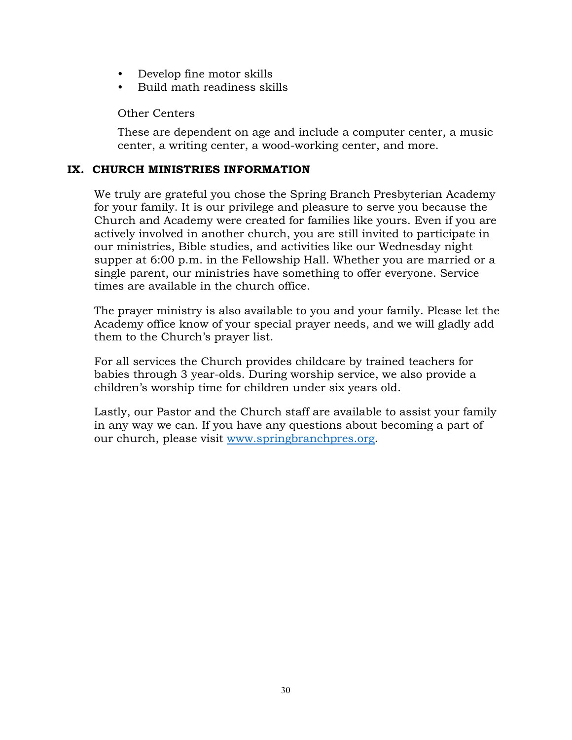- Develop fine motor skills
- Build math readiness skills

Other Centers

These are dependent on age and include a computer center, a music center, a writing center, a wood-working center, and more.

#### **IX. CHURCH MINISTRIES INFORMATION**

We truly are grateful you chose the Spring Branch Presbyterian Academy for your family. It is our privilege and pleasure to serve you because the Church and Academy were created for families like yours. Even if you are actively involved in another church, you are still invited to participate in our ministries, Bible studies, and activities like our Wednesday night supper at 6:00 p.m. in the Fellowship Hall. Whether you are married or a single parent, our ministries have something to offer everyone. Service times are available in the church office.

The prayer ministry is also available to you and your family. Please let the Academy office know of your special prayer needs, and we will gladly add them to the Church's prayer list.

For all services the Church provides childcare by trained teachers for babies through 3 year-olds. During worship service, we also provide a children's worship time for children under six years old.

Lastly, our Pastor and the Church staff are available to assist your family in any way we can. If you have any questions about becoming a part of our church, please visit www.springbranchpres.org.